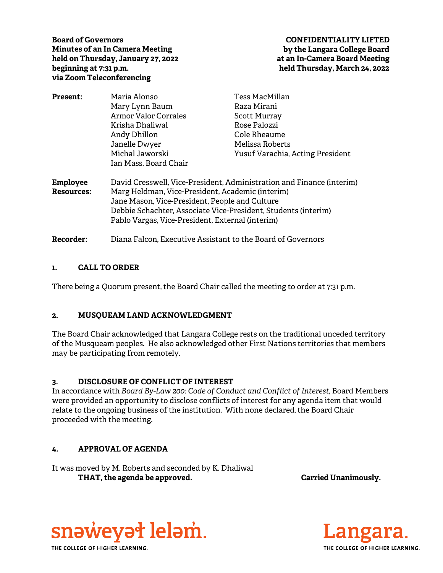**Board of Governors Minutes of an In Camera Meeting held on Thursday, January 27, 2022 beginning at 7:31 p.m. via Zoom Teleconferencing** 

# **CONFIDENTIALITY LIFTED by the Langara College Board at an In-Camera Board Meeting held Thursday, March 24, 2022**

| <b>Present:</b> | Maria Alonso                                                                                                       | Tess MacMillan                   |
|-----------------|--------------------------------------------------------------------------------------------------------------------|----------------------------------|
|                 | Mary Lynn Baum                                                                                                     | Raza Mirani                      |
|                 | <b>Armor Valor Corrales</b>                                                                                        | <b>Scott Murray</b>              |
|                 | Krisha Dhaliwal                                                                                                    | Rose Palozzi                     |
|                 | Andy Dhillon                                                                                                       | Cole Rheaume                     |
|                 | Janelle Dwyer                                                                                                      | Melissa Roberts                  |
|                 | Michal Jaworski                                                                                                    | Yusuf Varachia, Acting President |
|                 | Ian Mass, Board Chair                                                                                              |                                  |
| <b>Employee</b> | David Cresswell, Vice-President, Administration and Finance (interim)                                              |                                  |
| Resources:      | Marg Heldman, Vice-President, Academic (interim)                                                                   |                                  |
|                 | Jane Mason, Vice-President, People and Culture                                                                     |                                  |
|                 | Debbie Schachter, Associate Vice-President, Students (interim)<br>Pablo Vargas, Vice-President, External (interim) |                                  |
|                 |                                                                                                                    |                                  |
| Recorder:       | Diana Falcon, Executive Assistant to the Board of Governors                                                        |                                  |

### **1. CALL TO ORDER**

There being a Quorum present, the Board Chair called the meeting to order at 7:31 p.m.

# **2. MUSQUEAM LAND ACKNOWLEDGMENT**

The Board Chair acknowledged that Langara College rests on the traditional unceded territory of the Musqueam peoples. He also acknowledged other First Nations territories that members may be participating from remotely.

#### **3. DISCLOSURE OF CONFLICT OF INTEREST**

In accordance with *Board By-Law 200: Code of Conduct and Conflict of Interest*, Board Members were provided an opportunity to disclose conflicts of interest for any agenda item that would relate to the ongoing business of the institution. With none declared, the Board Chair proceeded with the meeting.

# **4. APPROVAL OF AGENDA**

It was moved by M. Roberts and seconded by K. Dhaliwal THAT, the agenda be approved. **Carried Unanimously.** Carried Unanimously.